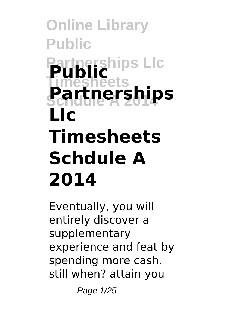**Online Library Public Partnerships Llc Public Timesheets Schdule A 2014 Partnerships Llc Timesheets Schdule A 2014**

Eventually, you will entirely discover a supplementary experience and feat by spending more cash. still when? attain you

Page 1/25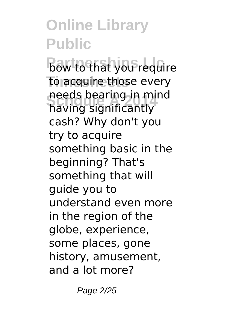**Bow to that you require** to acquire those every **Schdule A 2014** having significantly needs bearing in mind cash? Why don't you try to acquire something basic in the beginning? That's something that will guide you to understand even more in the region of the globe, experience, some places, gone history, amusement, and a lot more?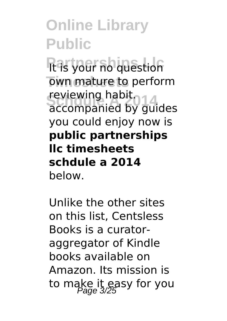**Ras your no question The own mature to perform Reviewing nabit.**<br>accompanied by guides reviewing habit. you could enjoy now is **public partnerships llc timesheets schdule a 2014** below.

Unlike the other sites on this list, Centsless Books is a curatoraggregator of Kindle books available on Amazon. Its mission is to make it easy for you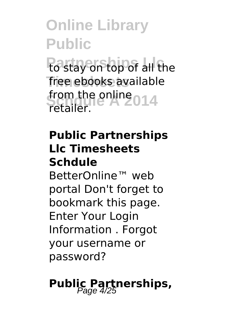**Po stay on top of all the** free ebooks available from the online 014 retailer.

#### **Public Partnerships Llc Timesheets Schdule**

BetterOnline™ web portal Don't forget to bookmark this page. Enter Your Login Information . Forgot your username or password?

# **Public Partnerships,**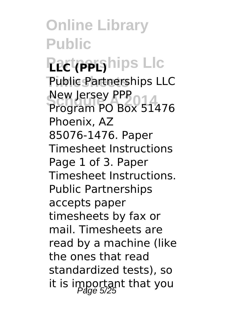**Online Library Public Pactoriships Lic Public Partnerships LLC Schdule A 2014** Program PO Box 51476 New Jersey PPP Phoenix, AZ 85076-1476. Paper Timesheet Instructions Page 1 of 3. Paper Timesheet Instructions. Public Partnerships accepts paper timesheets by fax or mail. Timesheets are read by a machine (like the ones that read standardized tests), so it is important that you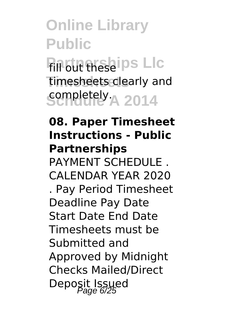**Online Library Public Fill out these ips Lic Timesheets** timesheets clearly and **sempletely** A 2014

#### **08. Paper Timesheet Instructions - Public Partnerships**

PAYMENT SCHEDULE CALENDAR YEAR 2020 . Pay Period Timesheet Deadline Pay Date Start Date End Date Timesheets must be Submitted and Approved by Midnight Checks Mailed/Direct Deposit Issued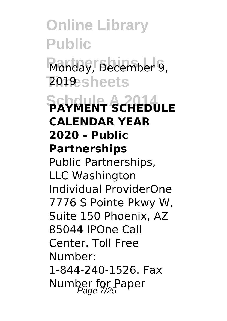**Online Library Public** Monday, December 9, **Timesheets** 2019 **SCHWENT SCHEDULE CALENDAR YEAR 2020 - Public Partnerships** Public Partnerships, LLC Washington Individual ProviderOne 7776 S Pointe Pkwy W, Suite 150 Phoenix, AZ 85044 IPOne Call Center. Toll Free Number: 1-844-240-1526. Fax Number for Paper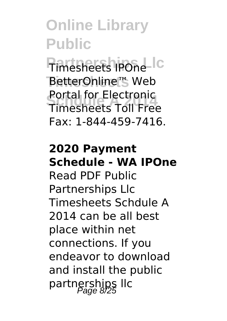**Pimesheets IPOne BetterOnline™ Web Schdule A 2014** Timesheets Toll Free Portal for Electronic Fax: 1-844-459-7416.

#### **2020 Payment Schedule - WA IPOne**

Read PDF Public Partnerships Llc Timesheets Schdule A 2014 can be all best place within net connections. If you endeavor to download and install the public partnerships llc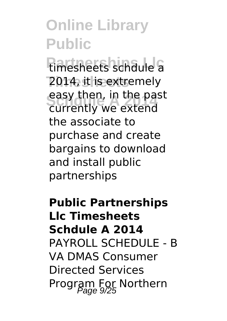**Fimesheets schdule a** 2014, it is extremely easy then, in the pa<br>currently we extend easy then, in the past the associate to purchase and create bargains to download and install public partnerships

**Public Partnerships Llc Timesheets Schdule A 2014** PAYROLL SCHEDULE - B VA DMAS Consumer Directed Services Program For Northern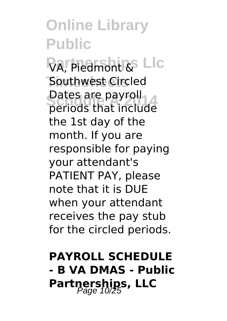VA, Piedmont & Llc **Southwest Circled Schdule A 2014** periods that include Dates are payroll the 1st day of the month. If you are responsible for paying your attendant's PATIENT PAY, please note that it is DUE when your attendant receives the pay stub for the circled periods.

#### **PAYROLL SCHEDULE - B VA DMAS - Public** Partnerships, LLC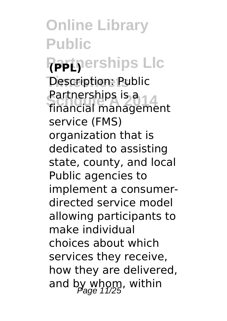**Online Library Public Partnerships Llc (PPL) Description: Public Partnerships is a**<br>Financial manageme financial management service (FMS) organization that is dedicated to assisting state, county, and local Public agencies to implement a consumerdirected service model allowing participants to make individual choices about which services they receive, how they are delivered, and by whom, within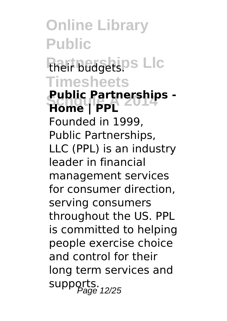**Online Library Public Their budgets. PS Timesheets Public Partnerships -**<br>Home L**PPI Home | PPL** Founded in 1999, Public Partnerships, LLC (PPL) is an industry leader in financial management services for consumer direction, serving consumers throughout the US. PPL is committed to helping people exercise choice and control for their long term services and supports.<br>Page 12/25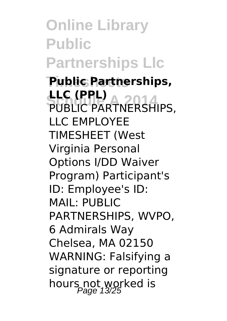**Online Library Public Partnerships Llc**

**Timesheets Public Partnerships, FLC (PPL)**<br>PUBLIC PARTNERSHIPS, **LLC (PPL)** LLC EMPLOYEE TIMESHEET (West Virginia Personal Options I/DD Waiver Program) Participant's ID: Employee's ID: MAIL: PUBLIC PARTNERSHIPS, WVPO, 6 Admirals Way Chelsea, MA 02150 WARNING: Falsifying a signature or reporting hours not worked is<br>Page 13/25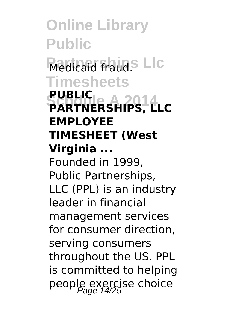**Online Library Public Medicaid fraud.**<sup>S</sup> Llc **Timesheets PARTNERSHIPS, LLC PUBLIC EMPLOYEE TIMESHEET (West Virginia ...** Founded in 1999, Public Partnerships, LLC (PPL) is an industry leader in financial management services for consumer direction, serving consumers throughout the US. PPL is committed to helping people exercise choice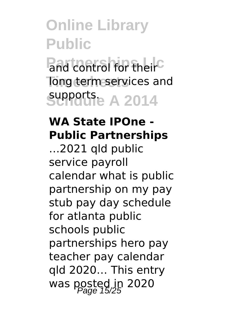and control for their<sup>C</sup> long term services and **Schdule A 2014** supports.

#### **WA State IPOne - Public Partnerships**

…2021 qld public service payroll calendar what is public partnership on my pay stub pay day schedule for atlanta public schools public partnerships hero pay teacher pay calendar qld 2020… This entry was posted in 2020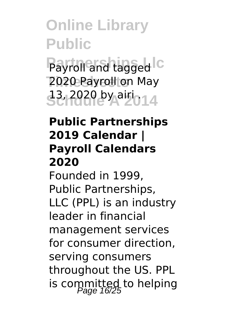Payroll and tagged C 2020 Payroll on May **33, 2020 by airi . 43** 

#### **Public Partnerships 2019 Calendar | Payroll Calendars 2020**

Founded in 1999, Public Partnerships, LLC (PPL) is an industry leader in financial management services for consumer direction, serving consumers throughout the US. PPL is committed to helping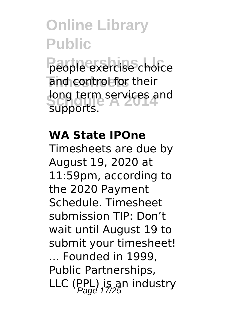**People exercise choice** and control for their long term services and supports.

#### **WA State IPOne**

Timesheets are due by August 19, 2020 at 11:59pm, according to the 2020 Payment Schedule. Timesheet submission TIP: Don't wait until August 19 to submit your timesheet! ... Founded in 1999, Public Partnerships, LLC (PPL) is an industry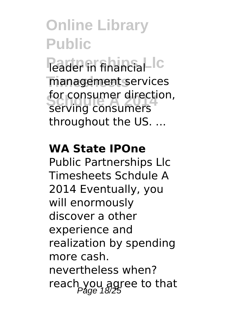**Peader** in financial IC **Timesheets** management services for consumer direction,<br>Serving consumers serving consumers throughout the US. ...

#### **WA State IPOne**

Public Partnerships Llc Timesheets Schdule A 2014 Eventually, you will enormously discover a other experience and realization by spending more cash. nevertheless when? reach you agree to that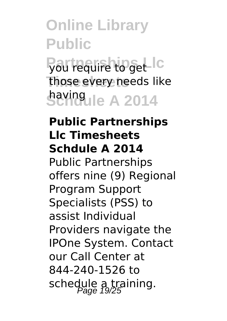# **Online Library Public Pou require to get Ic** those every needs like **Schdule A 2014** having

#### **Public Partnerships Llc Timesheets Schdule A 2014**

Public Partnerships offers nine (9) Regional Program Support Specialists (PSS) to assist Individual Providers navigate the IPOne System. Contact our Call Center at 844-240-1526 to schedule a training.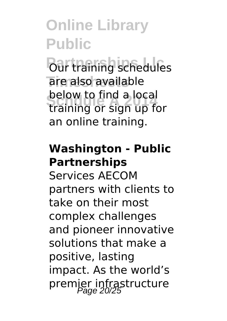**Pour training schedules** are also available **Schdule A 2014** training or sign up for below to find a local an online training.

#### **Washington - Public Partnerships**

Services AECOM partners with clients to take on their most complex challenges and pioneer innovative solutions that make a positive, lasting impact. As the world's premier infrastructure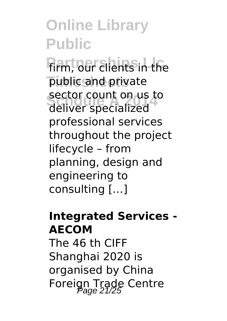**Firm, our clients in the** public and private sector count on us t sector count on us to professional services throughout the project lifecycle – from planning, design and engineering to consulting […]

#### **Integrated Services - AECOM**

The 46 th CIFF Shanghai 2020 is organised by China Foreign Trade Centre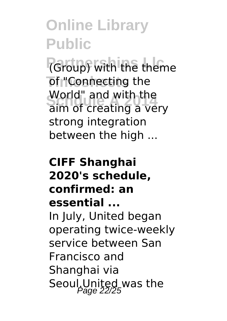**(Group)** with the theme **Timeship of "Connecting the School**<br> **Sum** of creating a very World" and with the strong integration between the high ...

#### **CIFF Shanghai 2020's schedule, confirmed: an essential ...** In July, United began operating twice-weekly service between San Francisco and Shanghai via Seoul.United was the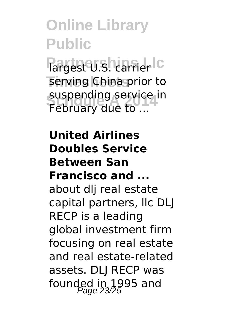Partest U.S. carrier Ic serving China prior to suspending service<br>February due to ... suspending service in

**United Airlines Doubles Service Between San Francisco and ...** about dlj real estate capital partners, llc DLJ RECP is a leading global investment firm focusing on real estate and real estate-related assets. DLJ RECP was founded in 1995 and<br> $P_{\text{age}}$  23/25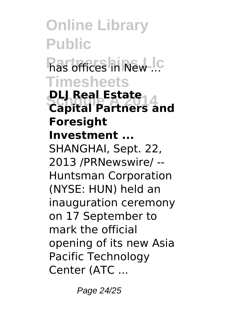**Online Library Public Pas offices in New ... Timesheets DLJ Real Estate**<br>Canital Partners a **Capital Partners and Foresight Investment ...** SHANGHAI, Sept. 22, 2013 /PRNewswire/ -- Huntsman Corporation (NYSE: HUN) held an inauguration ceremony on 17 September to mark the official opening of its new Asia Pacific Technology Center (ATC ...

Page 24/25